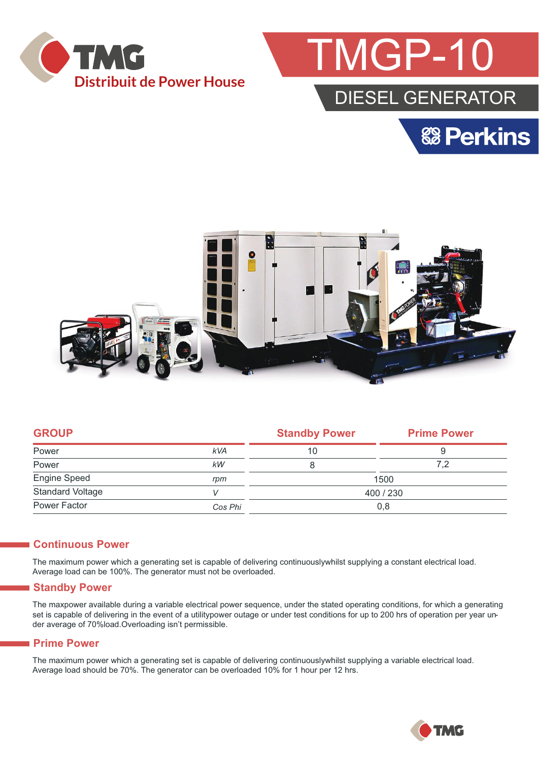



## DIESEL GENERATOR





| <b>GROUP</b>            |            | <b>Standby Power</b> | <b>Prime Power</b> |  |
|-------------------------|------------|----------------------|--------------------|--|
| Power                   | <b>kVA</b> | 10                   | 9                  |  |
| Power                   | kW         | 8                    | 7.2                |  |
| Engine Speed            | rpm        | 1500                 |                    |  |
| <b>Standard Voltage</b> |            | 400 / 230            |                    |  |
| Power Factor            | Cos Phi    | 0,8                  |                    |  |

#### **Continuous Power**

The maximum power which a generating set is capable of delivering continuouslywhilst supplying a constant electrical load. Average load can be 100%. The generator must not be overloaded.

#### **Standby Power**

The maxpower available during a variable electrical power sequence, under the stated operating conditions, for which a generating set is capable of delivering in the event of a utilitypower outage or under test conditions for up to 200 hrs of operation per year under average of 70%load.Overloading isn't permissible.

#### **Prime Power**

The maximum power which a generating set is capable of delivering continuouslywhilst supplying a variable electrical load. Average load should be 70%. The generator can be overloaded 10% for 1 hour per 12 hrs.

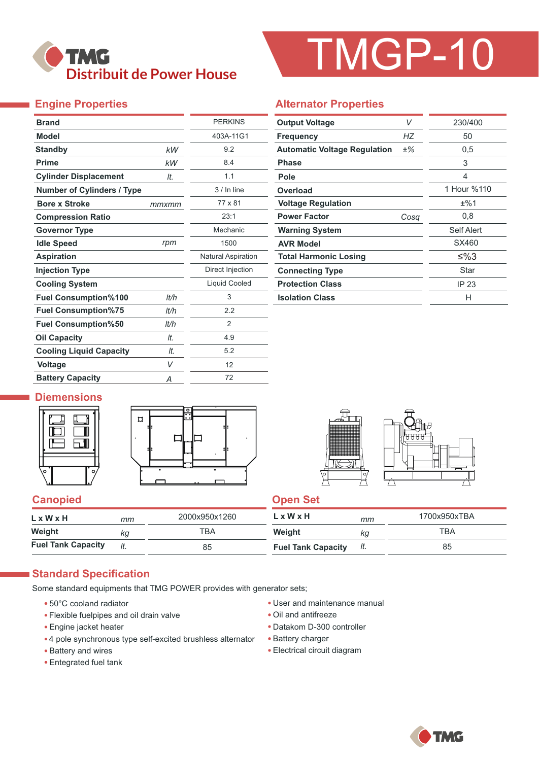

# TMGP-10

### **Engine Properties**

| <b>Brand</b>                      |       | <b>PERKINS</b>            |  |  |
|-----------------------------------|-------|---------------------------|--|--|
| <b>Model</b>                      |       | 403A-11G1                 |  |  |
| <b>Standby</b>                    | kW    | 9.2                       |  |  |
| <b>Prime</b>                      | kW    | 8.4                       |  |  |
| <b>Cylinder Displacement</b>      | It.   | 1.1                       |  |  |
| <b>Number of Cylinders / Type</b> |       | $3/$ In line              |  |  |
| <b>Bore x Stroke</b>              | mmxmm | 77 x 81                   |  |  |
| <b>Compression Ratio</b>          |       | 23:1                      |  |  |
| <b>Governor Type</b>              |       | Mechanic                  |  |  |
| <b>Idle Speed</b>                 | rpm   | 1500                      |  |  |
| <b>Aspiration</b>                 |       | <b>Natural Aspiration</b> |  |  |
| <b>Injection Type</b>             |       | Direct Injection          |  |  |
| <b>Cooling System</b>             |       | Liquid Cooled             |  |  |
| <b>Fuel Consumption%100</b>       | lt/h  | 3                         |  |  |
| <b>Fuel Consumption%75</b>        | lt/h  | 2.2                       |  |  |
| <b>Fuel Consumption%50</b>        | It/h  | $\overline{2}$            |  |  |
| <b>Oil Capacity</b>               | It.   | 4.9                       |  |  |
| <b>Cooling Liquid Capacity</b>    | It.   | 5.2                       |  |  |
| <b>Voltage</b>                    | V     | 12                        |  |  |
| <b>Battery Capacity</b>           | Α     | 72                        |  |  |

#### **Alternator Properties**

| <b>Output Voltage</b>               |      | 230/400     |
|-------------------------------------|------|-------------|
| <b>Frequency</b>                    | НZ   | 50          |
| <b>Automatic Voltage Regulation</b> | ±%   | 0,5         |
| <b>Phase</b>                        |      | 3           |
| Pole                                |      | 4           |
| Overload                            |      | 1 Hour %110 |
| <b>Voltage Regulation</b>           |      | ±%1         |
| <b>Power Factor</b>                 | Cosa | 0,8         |
| <b>Warning System</b>               |      | Self Alert  |
| <b>AVR Model</b>                    |      | SX460       |
| <b>Total Harmonic Losing</b>        |      | ≤%3         |
| <b>Connecting Type</b>              |      | Star        |
| <b>Protection Class</b>             |      | IP 23       |
| <b>Isolation Class</b>              |      | н           |

#### **Diemensions**





#### **Canopied Canopied Canopied**

| LxWxH                     | mm  | 2000x950x1260 | $L \times W \times H$     | mm  | 1700x950xTBA |
|---------------------------|-----|---------------|---------------------------|-----|--------------|
| Weight                    | kg  | тва           | Weight                    | ΚG  | TBA          |
| <b>Fuel Tank Capacity</b> | It. | 85            | <b>Fuel Tank Capacity</b> | It. | 85           |

#### **Standard Specification**

Some standard equipments that TMG POWER provides with generator sets;

- 50°C cooland radiator
- Flexible fuelpipes and oil drain valve
- Engine jacket heater
- 4 pole synchronous type self-excited brushless alternator
- Battery and wires
- Entegrated fuel tank
- User and maintenance manual
- Oil and antifreeze
- Datakom D-300 controller
- Battery charger
- Electrical circuit diagram